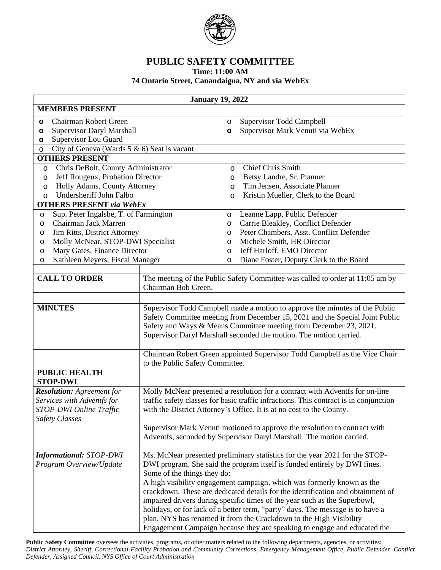

## **PUBLIC SAFETY COMMITTEE**

**Time: 11:00 AM**

## **74 Ontario Street, Canandaigua, NY and via WebEx**

| <b>January 19, 2022</b>                                                                                            |                                                                                                                                                                                                                                                                                                                                                                                                                                                                                                                                                                                                                                                                       |         |                                                                                                                                                                                                                                                                                                                                                                                                     |  |
|--------------------------------------------------------------------------------------------------------------------|-----------------------------------------------------------------------------------------------------------------------------------------------------------------------------------------------------------------------------------------------------------------------------------------------------------------------------------------------------------------------------------------------------------------------------------------------------------------------------------------------------------------------------------------------------------------------------------------------------------------------------------------------------------------------|---------|-----------------------------------------------------------------------------------------------------------------------------------------------------------------------------------------------------------------------------------------------------------------------------------------------------------------------------------------------------------------------------------------------------|--|
| <b>MEMBERS PRESENT</b>                                                                                             |                                                                                                                                                                                                                                                                                                                                                                                                                                                                                                                                                                                                                                                                       |         |                                                                                                                                                                                                                                                                                                                                                                                                     |  |
| Chairman Robert Green<br>$\circ$                                                                                   |                                                                                                                                                                                                                                                                                                                                                                                                                                                                                                                                                                                                                                                                       | $\circ$ | <b>Supervisor Todd Campbell</b>                                                                                                                                                                                                                                                                                                                                                                     |  |
| Supervisor Daryl Marshall<br>$\circ$                                                                               |                                                                                                                                                                                                                                                                                                                                                                                                                                                                                                                                                                                                                                                                       | $\circ$ | Supervisor Mark Venuti via WebEx                                                                                                                                                                                                                                                                                                                                                                    |  |
| O                                                                                                                  | <b>Supervisor Lou Guard</b>                                                                                                                                                                                                                                                                                                                                                                                                                                                                                                                                                                                                                                           |         |                                                                                                                                                                                                                                                                                                                                                                                                     |  |
| City of Geneva (Wards 5 & 6) Seat is vacant<br>$\circ$                                                             |                                                                                                                                                                                                                                                                                                                                                                                                                                                                                                                                                                                                                                                                       |         |                                                                                                                                                                                                                                                                                                                                                                                                     |  |
| <b>OTHERS PRESENT</b>                                                                                              |                                                                                                                                                                                                                                                                                                                                                                                                                                                                                                                                                                                                                                                                       |         | <b>Chief Chris Smith</b>                                                                                                                                                                                                                                                                                                                                                                            |  |
| Chris DeBolt, County Administrator<br>O<br>Jeff Rougeux, Probation Director                                        |                                                                                                                                                                                                                                                                                                                                                                                                                                                                                                                                                                                                                                                                       | O<br>O  | Betsy Landre, Sr. Planner                                                                                                                                                                                                                                                                                                                                                                           |  |
| O<br>Holly Adams, County Attorney<br>O                                                                             |                                                                                                                                                                                                                                                                                                                                                                                                                                                                                                                                                                                                                                                                       | O       | Tim Jensen, Associate Planner                                                                                                                                                                                                                                                                                                                                                                       |  |
| Undersheriff John Falbo<br>O                                                                                       |                                                                                                                                                                                                                                                                                                                                                                                                                                                                                                                                                                                                                                                                       | O       | Kristin Mueller, Clerk to the Board                                                                                                                                                                                                                                                                                                                                                                 |  |
| <b>OTHERS PRESENT via WebEx</b>                                                                                    |                                                                                                                                                                                                                                                                                                                                                                                                                                                                                                                                                                                                                                                                       |         |                                                                                                                                                                                                                                                                                                                                                                                                     |  |
| Sup. Peter Ingalsbe, T. of Farmington<br>$\circ$                                                                   |                                                                                                                                                                                                                                                                                                                                                                                                                                                                                                                                                                                                                                                                       | $\circ$ | Leanne Lapp, Public Defender                                                                                                                                                                                                                                                                                                                                                                        |  |
| Chairman Jack Marren<br>$\circ$                                                                                    |                                                                                                                                                                                                                                                                                                                                                                                                                                                                                                                                                                                                                                                                       | $\circ$ | Carrie Bleakley, Conflict Defender                                                                                                                                                                                                                                                                                                                                                                  |  |
| Jim Ritts, District Attorney<br>O                                                                                  |                                                                                                                                                                                                                                                                                                                                                                                                                                                                                                                                                                                                                                                                       | $\circ$ | Peter Chambers, Asst. Conflict Defender                                                                                                                                                                                                                                                                                                                                                             |  |
| Molly McNear, STOP-DWI Specialist<br>O                                                                             |                                                                                                                                                                                                                                                                                                                                                                                                                                                                                                                                                                                                                                                                       | $\circ$ | Michele Smith, HR Director                                                                                                                                                                                                                                                                                                                                                                          |  |
| Mary Gates, Finance Director<br>O                                                                                  |                                                                                                                                                                                                                                                                                                                                                                                                                                                                                                                                                                                                                                                                       | $\circ$ | Jeff Harloff, EMO Director                                                                                                                                                                                                                                                                                                                                                                          |  |
| Kathleen Meyers, Fiscal Manager<br>$\circ$                                                                         |                                                                                                                                                                                                                                                                                                                                                                                                                                                                                                                                                                                                                                                                       | $\circ$ | Diane Foster, Deputy Clerk to the Board                                                                                                                                                                                                                                                                                                                                                             |  |
| <b>CALL TO ORDER</b>                                                                                               | Chairman Bob Green.                                                                                                                                                                                                                                                                                                                                                                                                                                                                                                                                                                                                                                                   |         | The meeting of the Public Safety Committee was called to order at 11:05 am by                                                                                                                                                                                                                                                                                                                       |  |
| <b>MINUTES</b>                                                                                                     |                                                                                                                                                                                                                                                                                                                                                                                                                                                                                                                                                                                                                                                                       |         | Supervisor Todd Campbell made a motion to approve the minutes of the Public<br>Safety Committee meeting from December 15, 2021 and the Special Joint Public<br>Safety and Ways & Means Committee meeting from December 23, 2021.<br>Supervisor Daryl Marshall seconded the motion. The motion carried.                                                                                              |  |
|                                                                                                                    | to the Public Safety Committee.                                                                                                                                                                                                                                                                                                                                                                                                                                                                                                                                                                                                                                       |         | Chairman Robert Green appointed Supervisor Todd Campbell as the Vice Chair                                                                                                                                                                                                                                                                                                                          |  |
| <b>PUBLIC HEALTH</b><br><b>STOP-DWI</b>                                                                            |                                                                                                                                                                                                                                                                                                                                                                                                                                                                                                                                                                                                                                                                       |         |                                                                                                                                                                                                                                                                                                                                                                                                     |  |
| <b>Resolution:</b> Agreement for<br>Services with Adventfs for<br>STOP-DWI Online Traffic<br><b>Safety Classes</b> |                                                                                                                                                                                                                                                                                                                                                                                                                                                                                                                                                                                                                                                                       |         | Molly McNear presented a resolution for a contract with Adventfs for on-line<br>traffic safety classes for basic traffic infractions. This contract is in conjunction<br>with the District Attorney's Office. It is at no cost to the County.<br>Supervisor Mark Venuti motioned to approve the resolution to contract with<br>Adventfs, seconded by Supervisor Daryl Marshall. The motion carried. |  |
| <b>Informational: STOP-DWI</b><br>Program Overview/Update                                                          | Ms. McNear presented preliminary statistics for the year 2021 for the STOP-<br>DWI program. She said the program itself is funded entirely by DWI fines.<br>Some of the things they do:<br>A high visibility engagement campaign, which was formerly known as the<br>crackdown. These are dedicated details for the identification and obtainment of<br>impaired drivers during specific times of the year such as the Superbowl,<br>holidays, or for lack of a better term, "party" days. The message is to have a<br>plan. NYS has renamed it from the Crackdown to the High Visibility<br>Engagement Campaign because they are speaking to engage and educated the |         |                                                                                                                                                                                                                                                                                                                                                                                                     |  |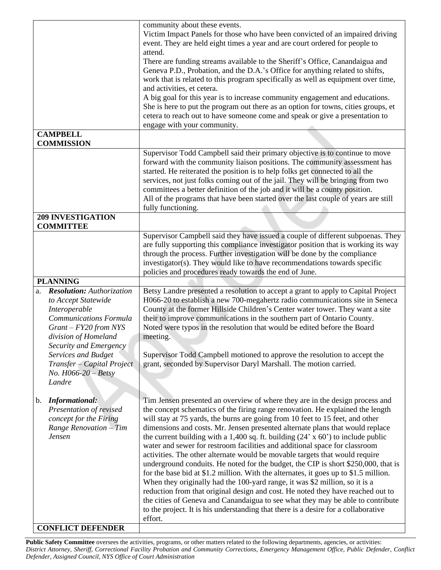|                                                                                                                                                                                                                                                                                             | community about these events.<br>Victim Impact Panels for those who have been convicted of an impaired driving<br>event. They are held eight times a year and are court ordered for people to<br>attend.<br>There are funding streams available to the Sheriff's Office, Canandaigua and<br>Geneva P.D., Probation, and the D.A.'s Office for anything related to shifts,<br>work that is related to this program specifically as well as equipment over time,<br>and activities, et cetera.<br>A big goal for this year is to increase community engagement and educations.<br>She is here to put the program out there as an option for towns, cities groups, et<br>cetera to reach out to have someone come and speak or give a presentation to<br>engage with your community.                                                                                                                                                                                                                                                                                                                                           |
|---------------------------------------------------------------------------------------------------------------------------------------------------------------------------------------------------------------------------------------------------------------------------------------------|-----------------------------------------------------------------------------------------------------------------------------------------------------------------------------------------------------------------------------------------------------------------------------------------------------------------------------------------------------------------------------------------------------------------------------------------------------------------------------------------------------------------------------------------------------------------------------------------------------------------------------------------------------------------------------------------------------------------------------------------------------------------------------------------------------------------------------------------------------------------------------------------------------------------------------------------------------------------------------------------------------------------------------------------------------------------------------------------------------------------------------|
| <b>CAMPBELL</b><br><b>COMMISSION</b>                                                                                                                                                                                                                                                        |                                                                                                                                                                                                                                                                                                                                                                                                                                                                                                                                                                                                                                                                                                                                                                                                                                                                                                                                                                                                                                                                                                                             |
|                                                                                                                                                                                                                                                                                             | Supervisor Todd Campbell said their primary objective is to continue to move<br>forward with the community liaison positions. The community assessment has<br>started. He reiterated the position is to help folks get connected to all the<br>services, not just folks coming out of the jail. They will be bringing from two<br>committees a better definition of the job and it will be a county position.<br>All of the programs that have been started over the last couple of years are still<br>fully functioning.                                                                                                                                                                                                                                                                                                                                                                                                                                                                                                                                                                                                   |
| <b>209 INVESTIGATION</b><br><b>COMMITTEE</b>                                                                                                                                                                                                                                                |                                                                                                                                                                                                                                                                                                                                                                                                                                                                                                                                                                                                                                                                                                                                                                                                                                                                                                                                                                                                                                                                                                                             |
| <b>PLANNING</b>                                                                                                                                                                                                                                                                             | Supervisor Campbell said they have issued a couple of different subpoenas. They<br>are fully supporting this compliance investigator position that is working its way<br>through the process. Further investigation will be done by the compliance<br>investigator(s). They would like to have recommendations towards specific<br>policies and procedures ready towards the end of June.                                                                                                                                                                                                                                                                                                                                                                                                                                                                                                                                                                                                                                                                                                                                   |
| <b>Resolution:</b> Authorization<br>a.<br>to Accept Statewide<br>Interoperable<br><b>Communications Formula</b><br>$Grant - FY20 from NYS$<br>division of Homeland<br>Security and Emergency<br>Services and Budget<br>Transfer - Capital Project<br><i>No.</i> $H066-20 - Betsy$<br>Landre | Betsy Landre presented a resolution to accept a grant to apply to Capital Project<br>H066-20 to establish a new 700-megahertz radio communications site in Seneca<br>County at the former Hillside Children's Center water tower. They want a site<br>their to improve communications in the southern part of Ontario County.<br>Noted were typos in the resolution that would be edited before the Board<br>meeting.<br>Supervisor Todd Campbell motioned to approve the resolution to accept the<br>grant, seconded by Supervisor Daryl Marshall. The motion carried.                                                                                                                                                                                                                                                                                                                                                                                                                                                                                                                                                     |
| <b>Informational:</b><br>b.<br>Presentation of revised<br>concept for the Firing<br>Range Renovation - Tim<br>Jensen                                                                                                                                                                        | Tim Jensen presented an overview of where they are in the design process and<br>the concept schematics of the firing range renovation. He explained the length<br>will stay at 75 yards, the burns are going from 10 feet to 15 feet, and other<br>dimensions and costs. Mr. Jensen presented alternate plans that would replace<br>the current building with a 1,400 sq. ft. building $(24 \times 60')$ to include public<br>water and sewer for restroom facilities and additional space for classroom<br>activities. The other alternate would be movable targets that would require<br>underground conduits. He noted for the budget, the CIP is short \$250,000, that is<br>for the base bid at \$1.2 million. With the alternates, it goes up to \$1.5 million.<br>When they originally had the 100-yard range, it was \$2 million, so it is a<br>reduction from that original design and cost. He noted they have reached out to<br>the cities of Geneva and Canandaigua to see what they may be able to contribute<br>to the project. It is his understanding that there is a desire for a collaborative<br>effort. |
| <b>CONFLICT DEFENDER</b>                                                                                                                                                                                                                                                                    |                                                                                                                                                                                                                                                                                                                                                                                                                                                                                                                                                                                                                                                                                                                                                                                                                                                                                                                                                                                                                                                                                                                             |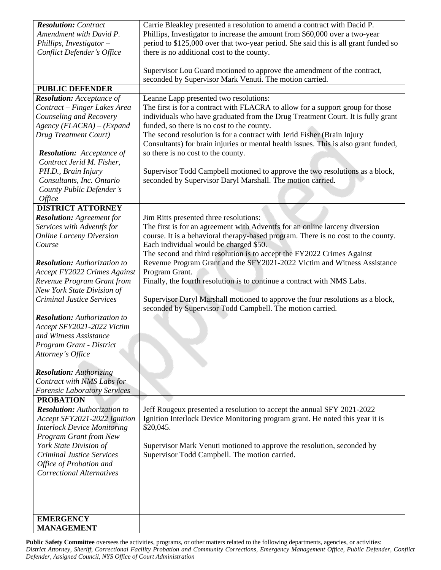| <b>Resolution:</b> Contract<br>Amendment with David P.<br>Phillips, Investigator $-$<br>Conflict Defender's Office | Carrie Bleakley presented a resolution to amend a contract with Dacid P.<br>Phillips, Investigator to increase the amount from \$60,000 over a two-year<br>period to \$125,000 over that two-year period. She said this is all grant funded so<br>there is no additional cost to the county. |
|--------------------------------------------------------------------------------------------------------------------|----------------------------------------------------------------------------------------------------------------------------------------------------------------------------------------------------------------------------------------------------------------------------------------------|
|                                                                                                                    | Supervisor Lou Guard motioned to approve the amendment of the contract,<br>seconded by Supervisor Mark Venuti. The motion carried.                                                                                                                                                           |
| <b>PUBLIC DEFENDER</b>                                                                                             |                                                                                                                                                                                                                                                                                              |
| <b>Resolution:</b> Acceptance of                                                                                   | Leanne Lapp presented two resolutions:                                                                                                                                                                                                                                                       |
| Contract - Finger Lakes Area                                                                                       | The first is for a contract with FLACRA to allow for a support group for those                                                                                                                                                                                                               |
| Counseling and Recovery                                                                                            | individuals who have graduated from the Drug Treatment Court. It is fully grant                                                                                                                                                                                                              |
| $Agency$ (FLACRA) – (Expand                                                                                        | funded, so there is no cost to the county.                                                                                                                                                                                                                                                   |
| <b>Drug Treatment Court)</b>                                                                                       | The second resolution is for a contract with Jerid Fisher (Brain Injury                                                                                                                                                                                                                      |
|                                                                                                                    | Consultants) for brain injuries or mental health issues. This is also grant funded,                                                                                                                                                                                                          |
| <b>Resolution:</b> Acceptance of                                                                                   | so there is no cost to the county.                                                                                                                                                                                                                                                           |
| Contract Jerid M. Fisher,                                                                                          |                                                                                                                                                                                                                                                                                              |
| PH.D., Brain Injury                                                                                                | Supervisor Todd Campbell motioned to approve the two resolutions as a block,                                                                                                                                                                                                                 |
| Consultants, Inc. Ontario                                                                                          | seconded by Supervisor Daryl Marshall. The motion carried.                                                                                                                                                                                                                                   |
| County Public Defender's                                                                                           |                                                                                                                                                                                                                                                                                              |
| Office                                                                                                             |                                                                                                                                                                                                                                                                                              |
| <b>DISTRICT ATTORNEY</b>                                                                                           |                                                                                                                                                                                                                                                                                              |
| <b>Resolution:</b> Agreement for                                                                                   | Jim Ritts presented three resolutions:                                                                                                                                                                                                                                                       |
| Services with Adventfs for                                                                                         | The first is for an agreement with Adventfs for an online larceny diversion                                                                                                                                                                                                                  |
| <b>Online Larceny Diversion</b>                                                                                    | course. It is a behavioral therapy-based program. There is no cost to the county.                                                                                                                                                                                                            |
| Course                                                                                                             | Each individual would be charged \$50.                                                                                                                                                                                                                                                       |
|                                                                                                                    | The second and third resolution is to accept the FY2022 Crimes Against                                                                                                                                                                                                                       |
| <b>Resolution:</b> Authorization to                                                                                | Revenue Program Grant and the SFY2021-2022 Victim and Witness Assistance                                                                                                                                                                                                                     |
| Accept FY2022 Crimes Against                                                                                       | Program Grant.                                                                                                                                                                                                                                                                               |
| Revenue Program Grant from                                                                                         | Finally, the fourth resolution is to continue a contract with NMS Labs.                                                                                                                                                                                                                      |
| New York State Division of                                                                                         |                                                                                                                                                                                                                                                                                              |
| <b>Criminal Justice Services</b>                                                                                   | Supervisor Daryl Marshall motioned to approve the four resolutions as a block,<br>seconded by Supervisor Todd Campbell. The motion carried.                                                                                                                                                  |
| <b>Resolution:</b> Authorization to                                                                                |                                                                                                                                                                                                                                                                                              |
| Accept SFY2021-2022 Victim                                                                                         |                                                                                                                                                                                                                                                                                              |
| and Witness Assistance                                                                                             |                                                                                                                                                                                                                                                                                              |
| Program Grant - District                                                                                           |                                                                                                                                                                                                                                                                                              |
| Attorney's Office                                                                                                  |                                                                                                                                                                                                                                                                                              |
|                                                                                                                    |                                                                                                                                                                                                                                                                                              |
| <b>Resolution:</b> Authorizing                                                                                     |                                                                                                                                                                                                                                                                                              |
| Contract with NMS Labs for                                                                                         |                                                                                                                                                                                                                                                                                              |
| <b>Forensic Laboratory Services</b>                                                                                |                                                                                                                                                                                                                                                                                              |
| <b>PROBATION</b>                                                                                                   |                                                                                                                                                                                                                                                                                              |
| <b>Resolution:</b> Authorization to                                                                                | Jeff Rougeux presented a resolution to accept the annual SFY 2021-2022                                                                                                                                                                                                                       |
| Accept SFY2021-2022 Ignition                                                                                       | Ignition Interlock Device Monitoring program grant. He noted this year it is                                                                                                                                                                                                                 |
| <b>Interlock Device Monitoring</b>                                                                                 | \$20,045.                                                                                                                                                                                                                                                                                    |
| <b>Program Grant from New</b>                                                                                      |                                                                                                                                                                                                                                                                                              |
| York State Division of                                                                                             | Supervisor Mark Venuti motioned to approve the resolution, seconded by                                                                                                                                                                                                                       |
| <b>Criminal Justice Services</b>                                                                                   | Supervisor Todd Campbell. The motion carried.                                                                                                                                                                                                                                                |
| Office of Probation and<br><b>Correctional Alternatives</b>                                                        |                                                                                                                                                                                                                                                                                              |
|                                                                                                                    |                                                                                                                                                                                                                                                                                              |
|                                                                                                                    |                                                                                                                                                                                                                                                                                              |
|                                                                                                                    |                                                                                                                                                                                                                                                                                              |
|                                                                                                                    |                                                                                                                                                                                                                                                                                              |
| <b>EMERGENCY</b>                                                                                                   |                                                                                                                                                                                                                                                                                              |
| <b>MANAGEMENT</b>                                                                                                  |                                                                                                                                                                                                                                                                                              |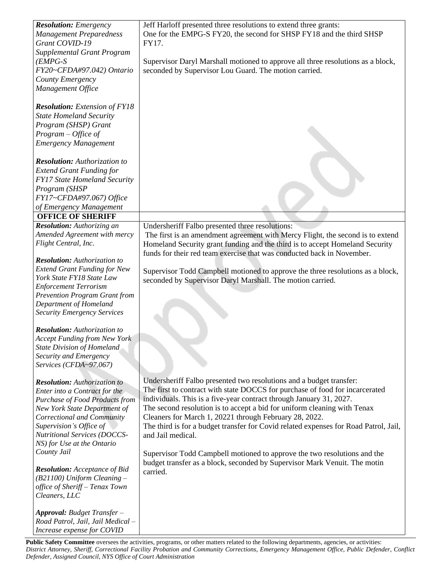| <b>Resolution:</b> Emergency<br><b>Management Preparedness</b><br>Grant COVID-19<br><b>Supplemental Grant Program</b><br>$(EMPG-S)$<br>FY20~CFDA#97.042) Ontario<br>County Emergency<br>Management Office                                                                                                                                                                                                       | Jeff Harloff presented three resolutions to extend three grants:<br>One for the EMPG-S FY20, the second for SHSP FY18 and the third SHSP<br>FY17.<br>Supervisor Daryl Marshall motioned to approve all three resolutions as a block,<br>seconded by Supervisor Lou Guard. The motion carried.                                                                                                                                                                                                                                                                                                                                                      |
|-----------------------------------------------------------------------------------------------------------------------------------------------------------------------------------------------------------------------------------------------------------------------------------------------------------------------------------------------------------------------------------------------------------------|----------------------------------------------------------------------------------------------------------------------------------------------------------------------------------------------------------------------------------------------------------------------------------------------------------------------------------------------------------------------------------------------------------------------------------------------------------------------------------------------------------------------------------------------------------------------------------------------------------------------------------------------------|
| <b>Resolution:</b> Extension of FY18<br><b>State Homeland Security</b><br>Program (SHSP) Grant<br>$Program - Office of$<br><b>Emergency Management</b>                                                                                                                                                                                                                                                          |                                                                                                                                                                                                                                                                                                                                                                                                                                                                                                                                                                                                                                                    |
| <b>Resolution:</b> Authorization to<br><b>Extend Grant Funding for</b><br><b>FY17 State Homeland Security</b><br>Program (SHSP<br>FY17~CFDA#97.067) Office<br>of Emergency Management<br><b>OFFICE OF SHERIFF</b>                                                                                                                                                                                               |                                                                                                                                                                                                                                                                                                                                                                                                                                                                                                                                                                                                                                                    |
| <b>Resolution:</b> Authorizing an<br>Amended Agreement with mercy<br>Flight Central, Inc.                                                                                                                                                                                                                                                                                                                       | Undersheriff Falbo presented three resolutions:<br>The first is an amendment agreement with Mercy Flight, the second is to extend<br>Homeland Security grant funding and the third is to accept Homeland Security                                                                                                                                                                                                                                                                                                                                                                                                                                  |
| <b>Resolution:</b> Authorization to<br><b>Extend Grant Funding for New</b><br>York State FY18 State Law<br><b>Enforcement Terrorism</b><br><b>Prevention Program Grant from</b><br>Department of Homeland<br><b>Security Emergency Services</b>                                                                                                                                                                 | funds for their red team exercise that was conducted back in November.<br>Supervisor Todd Campbell motioned to approve the three resolutions as a block,<br>seconded by Supervisor Daryl Marshall. The motion carried.                                                                                                                                                                                                                                                                                                                                                                                                                             |
| <b>Resolution:</b> Authorization to<br><b>Accept Funding from New York</b><br><b>State Division of Homeland</b><br>Security and Emergency<br>Services (CFDA~97.067)                                                                                                                                                                                                                                             |                                                                                                                                                                                                                                                                                                                                                                                                                                                                                                                                                                                                                                                    |
| <b>Resolution:</b> Authorization to<br>Enter into a Contract for the<br><b>Purchase of Food Products from</b><br>New York State Department of<br>Correctional and Community<br>Supervision's Office of<br>Nutritional Services (DOCCS-<br>NS) for Use at the Ontario<br>County Jail<br><b>Resolution:</b> Acceptance of Bid<br>$(B21100)$ Uniform Cleaning -<br>office of Sheriff - Tenax Town<br>Cleaners, LLC | Undersheriff Falbo presented two resolutions and a budget transfer:<br>The first to contract with state DOCCS for purchase of food for incarcerated<br>individuals. This is a five-year contract through January 31, 2027.<br>The second resolution is to accept a bid for uniform cleaning with Tenax<br>Cleaners for March 1, 20221 through February 28, 2022.<br>The third is for a budget transfer for Covid related expenses for Road Patrol, Jail,<br>and Jail medical.<br>Supervisor Todd Campbell motioned to approve the two resolutions and the<br>budget transfer as a block, seconded by Supervisor Mark Venuit. The motin<br>carried. |
| Approval: Budget Transfer -<br>Road Patrol, Jail, Jail Medical -<br>Increase expense for COVID                                                                                                                                                                                                                                                                                                                  |                                                                                                                                                                                                                                                                                                                                                                                                                                                                                                                                                                                                                                                    |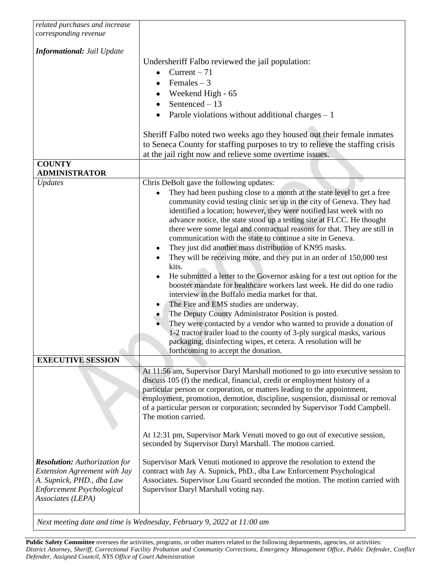| related purchases and increase<br>corresponding revenue                                                            |                                                                                                                                                                                                                                                                                                                                                                                                                                                                                                                                                                                                                                                                                                                                                                                                                                                                                                                                                                                                                                                                                                                                                                                                            |
|--------------------------------------------------------------------------------------------------------------------|------------------------------------------------------------------------------------------------------------------------------------------------------------------------------------------------------------------------------------------------------------------------------------------------------------------------------------------------------------------------------------------------------------------------------------------------------------------------------------------------------------------------------------------------------------------------------------------------------------------------------------------------------------------------------------------------------------------------------------------------------------------------------------------------------------------------------------------------------------------------------------------------------------------------------------------------------------------------------------------------------------------------------------------------------------------------------------------------------------------------------------------------------------------------------------------------------------|
| <b>Informational: Jail Update</b>                                                                                  | Undersheriff Falbo reviewed the jail population:<br>Current $-71$<br>Females $-3$<br>$\bullet$<br>Weekend High - 65<br>Sentenced $-13$<br>Parole violations without additional charges $-1$<br>Sheriff Falbo noted two weeks ago they housed out their female inmates<br>to Seneca County for staffing purposes to try to relieve the staffing crisis<br>at the jail right now and relieve some overtime issues.                                                                                                                                                                                                                                                                                                                                                                                                                                                                                                                                                                                                                                                                                                                                                                                           |
| <b>COUNTY</b><br><b>ADMINISTRATOR</b>                                                                              |                                                                                                                                                                                                                                                                                                                                                                                                                                                                                                                                                                                                                                                                                                                                                                                                                                                                                                                                                                                                                                                                                                                                                                                                            |
| <b>Updates</b>                                                                                                     | Chris DeBolt gave the following updates:<br>They had been pushing close to a month at the state level to get a free<br>community covid testing clinic set up in the city of Geneva. They had<br>identified a location; however, they were notified last week with no<br>advance notice, the state stood up a testing site at FLCC. He thought<br>there were some legal and contractual reasons for that. They are still in<br>communication with the state to continue a site in Geneva.<br>They just did another mass distribution of KN95 masks.<br>They will be receiving more, and they put in an order of 150,000 test<br>kits.<br>He submitted a letter to the Governor asking for a test out option for the<br>booster mandate for healthcare workers last week. He did do one radio<br>interview in the Buffalo media market for that.<br>The Fire and EMS studies are underway.<br>The Deputy County Administrator Position is posted.<br>They were contacted by a vendor who wanted to provide a donation of<br>1-2 tractor trailer load to the county of 3-ply surgical masks, various<br>packaging, disinfecting wipes, et cetera. A resolution will be<br>forthcoming to accept the donation. |
| <b>EXECUTIVE SESSION</b>                                                                                           | At 11:56 am, Supervisor Daryl Marshall motioned to go into executive session to                                                                                                                                                                                                                                                                                                                                                                                                                                                                                                                                                                                                                                                                                                                                                                                                                                                                                                                                                                                                                                                                                                                            |
|                                                                                                                    | discuss 105 (f) the medical, financial, credit or employment history of a<br>particular person or corporation, or matters leading to the appointment,<br>employment, promotion, demotion, discipline, suspension, dismissal or removal<br>of a particular person or corporation; seconded by Supervisor Todd Campbell.<br>The motion carried.<br>At 12:31 pm, Supervisor Mark Venuti moved to go out of executive session,                                                                                                                                                                                                                                                                                                                                                                                                                                                                                                                                                                                                                                                                                                                                                                                 |
| <b>Resolution:</b> Authorization for                                                                               | seconded by Supervisor Daryl Marshall. The motion carried.<br>Supervisor Mark Venuti motioned to approve the resolution to extend the                                                                                                                                                                                                                                                                                                                                                                                                                                                                                                                                                                                                                                                                                                                                                                                                                                                                                                                                                                                                                                                                      |
| <b>Extension Agreement with Jay</b><br>A. Supnick, PHD., dba Law<br>Enforcement Psychological<br>Associates (LEPA) | contract with Jay A. Supnick, PhD., dba Law Enforcement Psychological<br>Associates. Supervisor Lou Guard seconded the motion. The motion carried with<br>Supervisor Daryl Marshall voting nay.                                                                                                                                                                                                                                                                                                                                                                                                                                                                                                                                                                                                                                                                                                                                                                                                                                                                                                                                                                                                            |

*Next meeting date and time is Wednesday, February 9, 2022 at 11:00 am*